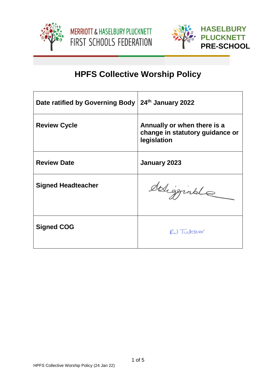





# **HPFS Collective Worship Policy**

| Date ratified by Governing Body | 24th January 2022                                                             |
|---------------------------------|-------------------------------------------------------------------------------|
| <b>Review Cycle</b>             | Annually or when there is a<br>change in statutory guidance or<br>legislation |
| <b>Review Date</b>              | January 2023                                                                  |
| <b>Signed Headteacher</b>       | deligginale                                                                   |
| <b>Signed COG</b>               | RU Tutcher                                                                    |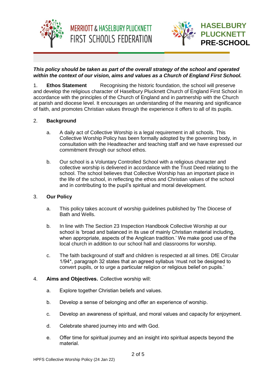



## *This policy should be taken as part of the overall strategy of the school and operated within the context of our vision, aims and values as a Church of England First School.*

**MERRIOTT & HASELBURY PLUCKNETT** 

**FIRST SCHOOLS FEDERATION** 

1. **Ethos Statement** Recognising the historic foundation, the school will preserve and develop the religious character of Haselbury Plucknett Church of England First School in accordance with the principles of the Church of England and in partnership with the Church at parish and diocese level. It encourages an understanding of the meaning and significance of faith, and promotes Christian values through the experience it offers to all of its pupils.

## 2. **Background**

- a. A daily act of Collective Worship is a legal requirement in all schools. This Collective Worship Policy has been formally adopted by the governing body, in consultation with the Headteacher and teaching staff and we have expressed our commitment through our school ethos.
- b. Our school is a Voluntary Controlled School with a religious character and collective worship is delivered in accordance with the Trust Deed relating to the school. The school believes that Collective Worship has an important place in the life of the school, in reflecting the ethos and Christian values of the school and in contributing to the pupil's spiritual and moral development.

#### 3. **Our Policy**

- a. This policy takes account of worship guidelines published by The Diocese of Bath and Wells.
- b. In line with The Section 23 Inspection Handbook Collective Worship at our school is 'broad and balanced in its use of mainly Christian material including, when appropriate, aspects of the Anglican tradition.' We make good use of the local church in addition to our school hall and classrooms for worship.
- c. The faith background of staff and children is respected at all times. DfE Circular 1/94\*, paragraph 32 states that an agreed syllabus 'must not be designed to convert pupils, or to urge a particular religion or religious belief on pupils.'

#### 4. **Aims and Objectives.** Collective worship will:

- a. Explore together Christian beliefs and values.
- b. Develop a sense of belonging and offer an experience of worship.
- c. Develop an awareness of spiritual, and moral values and capacity for enjoyment.
- d. Celebrate shared journey into and with God.
- e. Offer time for spiritual journey and an insight into spiritual aspects beyond the material.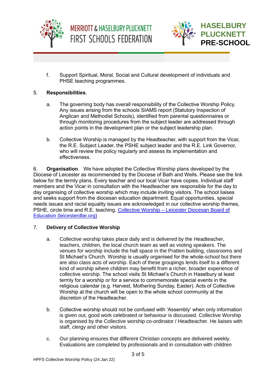



f. Support Spiritual, Moral, Social and Cultural development of individuals and PHSE teaching programmes.

## 5. **Responsibilities**.

- a. The governing body has overall responsibility of the Collective Worship Policy. Any issues arising from the schools SIAMS report (Statutory Inspection of Anglican and Methodist Schools), identified from parental questionnaires or through monitoring procedures from the subject leader are addressed through action points in the development plan or the subject leadership plan.
- b. Collective Worship is managed by the Headteacher, with support from the Vicar, the R.E. Subject Leader, the PSHE subject leader and the R.E. Link Governor, who will review the policy regularly and assess its implementation and effectiveness.

6. **Organisation**. We have adopted the Collective Worship plans developed by the Diocese of Leicester as recommended by the Diocese of Bath and Wells. Please see the link below for the termly plans. Every teacher and our local Vicar have copies. Individual staff members and the Vicar in consultation with the Headteacher are responsible for the day to day organising of collective worship which may include inviting visitors. The school liaises and seeks support from the diocesan education department. Equal opportunities, special needs issues and racial equality issues are acknowledged in our collective worship themes, PSHE, circle time and R.E. teaching. Collective Worship – [Leicester Diocesan Board of](https://www.leicesterdbe.org/collective-worship/)  [Education \(leicesterdbe.org\)](https://www.leicesterdbe.org/collective-worship/)

#### 7. **Delivery of Collective Worship**

- a. Collective worship takes place daily and is delivered by the Headteacher, teachers, children, the local church team as well as visiting speakers. The venues for worship include the hall space in the Pratten building, classrooms and St Michael's Church. Worship is usually organised for the whole-school but there are also class acts of worship. Each of these groupings lends itself to a different kind of worship where children may benefit from a richer, broader experience of collective worship. The school visits St Michael's Church in Haselbury at least termly for a worship or for a service to commemorate special events in the religious calendar (e.g. Harvest, Mothering Sunday, Easter). Acts of Collective Worship at the church will be open to the whole school community at the discretion of the Headteacher.
- b. Collective worship should not be confused with 'Assembly' when only information is given out, good work celebrated or behaviour is discussed. Collective Worship is organised by the Collective worship co-ordinator / Headteacher. He liaises with staff, clergy and other visitors.
- c. Our planning ensures that different Christian concepts are delivered weekly. Evaluations are completed by professionals and in consultation with children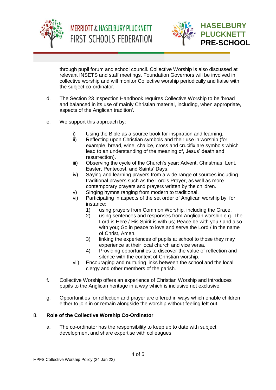



through pupil forum and school council. Collective Worship is also discussed at relevant INSETS and staff meetings. Foundation Governors will be involved in collective worship and will monitor Collective worship periodically and liaise with the subject co-ordinator.

- d. The Section 23 Inspection Handbook requires Collective Worship to be 'broad and balanced in its use of mainly Christian material, including, when appropriate, aspects of the Anglican tradition'.
- e. We support this approach by:
	- i) Using the Bible as a source book for inspiration and learning.
	- ii) Reflecting upon Christian symbols and their use in worship (for example, bread, wine, chalice, cross and crucifix are symbols which lead to an understanding of the meaning of, Jesus' death and resurrection).
	- iii) Observing the cycle of the Church's year: Advent, Christmas, Lent, Easter, Pentecost, and Saints' Days.
	- iv) Saying and learning prayers from a wide range of sources including traditional prayers such as the Lord's Prayer, as well as more contemporary prayers and prayers written by the children.
	- v) Singing hymns ranging from modern to traditional.
	- vi) Participating in aspects of the set order of Anglican worship by, for instance:
		- 1) using prayers from Common Worship, including the Grace.<br>2) using sentences and responses from Anglican worship e.g.
		- using sentences and responses from Anglican worship e.g. The Lord is Here / His Spirit is with us; Peace be with you / and also with you; Go in peace to love and serve the Lord / In the name of Christ, Amen.
		- 3) linking the experiences of pupils at school to those they may experience at their local church and vice versa.
		- 4) Providing opportunities to discover the value of reflection and silence with the context of Christian worship.
	- vii) Encouraging and nurturing links between the school and the local clergy and other members of the parish.
- f. Collective Worship offers an experience of Christian Worship and introduces pupils to the Anglican heritage in a way which is inclusive not exclusive.
- g. Opportunities for reflection and prayer are offered in ways which enable children either to join in or remain alongside the worship without feeling left out.

#### 8. **Role of the Collective Worship Co-Ordinator**

a. The co-ordinator has the responsibility to keep up to date with subject development and share expertise with colleagues.